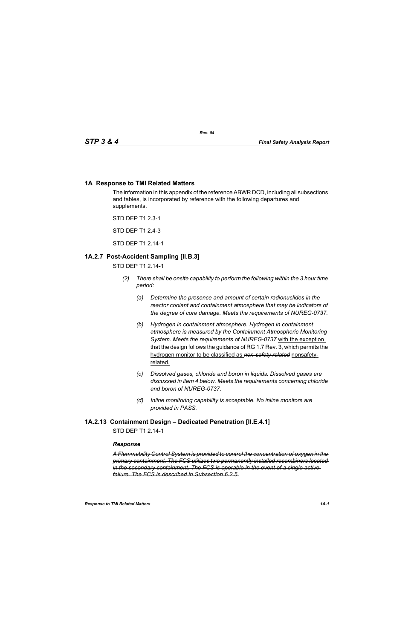# **1A Response to TMI Related Matters**

The information in this appendix of the reference ABWR DCD, including all subsections and tables, is incorporated by reference with the following departures and supplements.

STD DEP T1 2.3-1

STD DEP T1 2.4-3

STD DEP T1 2.14-1

# **1A.2.7 Post-Accident Sampling [II.B.3]**

STD DEP T1 2.14-1

- *(2) There shall be onsite capability to perform the following within the 3 hour time period:*
	- *(a) Determine the presence and amount of certain radionuclides in the reactor coolant and containment atmosphere that may be indicators of the degree of core damage. Meets the requirements of NUREG-0737.*
	- *(b) Hydrogen in containment atmosphere. Hydrogen in containment atmosphere is measured by the Containment Atmospheric Monitoring System. Meets the requirements of NUREG-0737* with the exception that the design follows the guidance of RG 1.7 Rev. 3, which permits the hydrogen monitor to be classified as *non-safety related* nonsafetyrelated.
	- *(c) Dissolved gases, chloride and boron in liquids. Dissolved gases are discussed in item 4 below. Meets the requirements concerning chloride and boron of NUREG-0737.*
	- *(d) Inline monitoring capability is acceptable. No inline monitors are provided in PASS.*

# **1A.2.13 Containment Design – Dedicated Penetration [II.E.4.1]**

STD DFP T1 2 14-1

# *Response*

*A Flammability Control System is provided to control the concentration of oxygen in the primary containment. The FCS utilizes two permanently installed recombiners located in the secondary containment. The FCS is operable in the event of a single active failure. The FCS is described in Subsection 6.2.5.*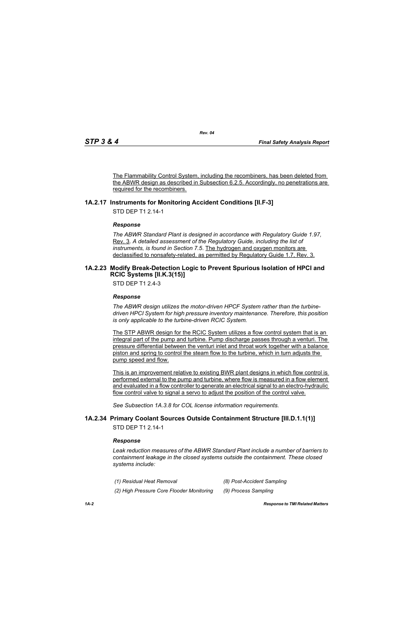The Flammability Control System, including the recombiners, has been deleted from the ABWR design as described in Subsection 6.2.5. Accordingly, no penetrations are required for the recombiners.

# **1A.2.17 Instruments for Monitoring Accident Conditions [II.F-3]**

STD DEP T1 2.14-1

### *Response*

*The ABWR Standard Plant is designed in accordance with Regulatory Guide 1.97,* Rev. 3. *A detailed assessment of the Regulatory Guide, including the list of instruments, is found in Section 7.5*. The hydrogen and oxygen monitors are declassified to nonsafety-related, as permitted by Regulatory Guide 1.7, Rev. 3.

### <span id="page-1-0"></span>**1A.2.23 Modify Break-Detection Logic to Prevent Spurious Isolation of HPCI and RCIC Systems [II.K.3(15)]**

STD DEP T1 2.4-3

### *Response*

*The ABWR design utilizes the motor-driven HPCF System rather than the turbinedriven HPCI System for high pressure inventory maintenance. Therefore, this position is only applicable to the turbine-driven RCIC System.*

The STP ABWR design for the RCIC System utilizes a flow control system that is an integral part of the pump and turbine. Pump discharge passes through a venturi. The pressure differential between the venturi inlet and throat work together with a balance piston and spring to control the steam flow to the turbine, which in turn adjusts the pump speed and flow.

This is an improvement relative to existing BWR plant designs in which flow control is performed external to the pump and turbine, where flow is measured in a flow element and evaluated in a flow controller to generate an electrical signal to an electro-hydraulic flow control valve to signal a servo to adjust the position of the control valve.

*See Subsection 1A.3.8 for COL license information requirements.*

# **1A.2.34 Primary Coolant Sources Outside Containment Structure [III.D.1.1(1)]**

STD DEP T1 2.14-1

### *Response*

*Leak reduction measures of the ABWR Standard Plant include a number of barriers to containment leakage in the closed systems outside the containment. These closed systems include:*

- *(1) Residual Heat Removal (8) Post-Accident Sampling*
	-
- *(2) High Pressure Core Flooder Monitoring (9) Process Sampling*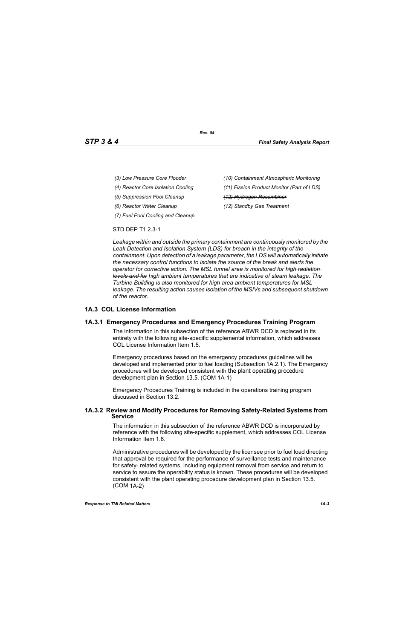- 
- 
- *(5) Suppression Pool Cleanup (12) Hydrogen Recombiner*
- 
- *(7) Fuel Pool Cooling and Cleanup*
- *(3) Low Pressure Core Flooder (10) Containment Atmospheric Monitoring*
- *(4) Reactor Core Isolation Cooling (11) Fission Product Monitor (Part of LDS)*
	-
- *(6) Reactor Water Cleanup (12) Standby Gas Treatment*

### STD DEP T1 2.3-1

*Leakage within and outside the primary containment are continuously monitored by the Leak Detection and Isolation System (LDS) for breach in the integrity of the containment. Upon detection of a leakage parameter, the LDS will automatically initiate the necessary control functions to isolate the source of the break and alerts the operator for corrective action. The MSL tunnel area is monitored for high radiation levels and for high ambient temperatures that are indicative of steam leakage. The Turbine Building is also monitored for high area ambient temperatures for MSL leakage. The resulting action causes isolation of the MSIVs and subsequent shutdown of the reactor.*

# **1A.3 COL License Information**

# **1A.3.1 Emergency Procedures and Emergency Procedures Training Program**

The information in this subsection of the reference ABWR DCD is replaced in its entirety with the following site-specific supplemental information, which addresses COL License Information Item 1.5.

Emergency procedures based on the emergency procedures guidelines will be developed and implemented prior to fuel loading (Subsection 1A.2.1). The Emergency procedures will be developed consistent with the plant operating procedure development plan in Section 13.5. (COM 1A-1)

Emergency Procedures Training is included in the operations training program discussed in Section 13.2.

### **1A.3.2 Review and Modify Procedures for Removing Safety-Related Systems from Service**

The information in this subsection of the reference ABWR DCD is incorporated by reference with the following site-specific supplement, which addresses COL License Information Item 1.6.

Administrative procedures will be developed by the licensee prior to fuel load directing that approval be required for the performance of surveillance tests and maintenance for safety- related systems, including equipment removal from service and return to service to assure the operability status is known. These procedures will be developed consistent with the plant operating procedure development plan in Section 13.5. (COM 1A-2)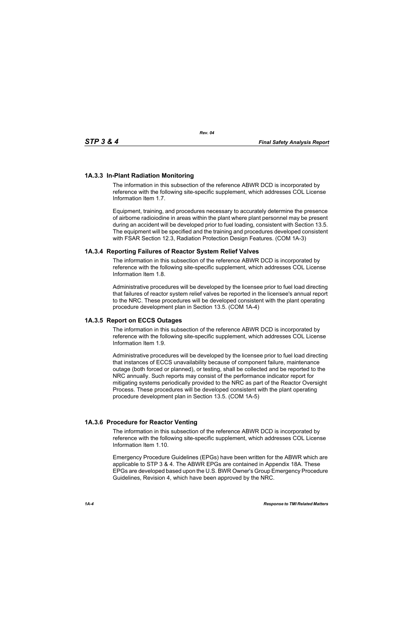# **1A.3.3 In-Plant Radiation Monitoring**

The information in this subsection of the reference ABWR DCD is incorporated by reference with the following site-specific supplement, which addresses COL License Information Item 1.7.

Equipment, training, and procedures necessary to accurately determine the presence of airborne radioiodine in areas within the plant where plant personnel may be present during an accident will be developed prior to fuel loading, consistent with Section 13.5. The equipment will be specified and the training and procedures developed consistent with FSAR Section 12.3, Radiation Protection Design Features. (COM 1A-3)

### **1A.3.4 Reporting Failures of Reactor System Relief Valves**

The information in this subsection of the reference ABWR DCD is incorporated by reference with the following site-specific supplement, which addresses COL License Information Item 1.8.

Administrative procedures will be developed by the licensee prior to fuel load directing that failures of reactor system relief valves be reported in the licensee's annual report to the NRC. These procedures will be developed consistent with the plant operating procedure development plan in Section 13.5. (COM 1A-4)

### **1A.3.5 Report on ECCS Outages**

The information in this subsection of the reference ABWR DCD is incorporated by reference with the following site-specific supplement, which addresses COL License Information Item 1.9.

Administrative procedures will be developed by the licensee prior to fuel load directing that instances of ECCS unavailability because of component failure, maintenance outage (both forced or planned), or testing, shall be collected and be reported to the NRC annually. Such reports may consist of the performance indicator report for mitigating systems periodically provided to the NRC as part of the Reactor Oversight Process. These procedures will be developed consistent with the plant operating procedure development plan in Section 13.5. (COM 1A-5)

### **1A.3.6 Procedure for Reactor Venting**

The information in this subsection of the reference ABWR DCD is incorporated by reference with the following site-specific supplement, which addresses COL License Information Item 1.10.

Emergency Procedure Guidelines (EPGs) have been written for the ABWR which are applicable to STP 3 & 4. The ABWR EPGs are contained in Appendix 18A. These EPGs are developed based upon the U.S. BWR Owner's Group Emergency Procedure Guidelines, Revision 4, which have been approved by the NRC.